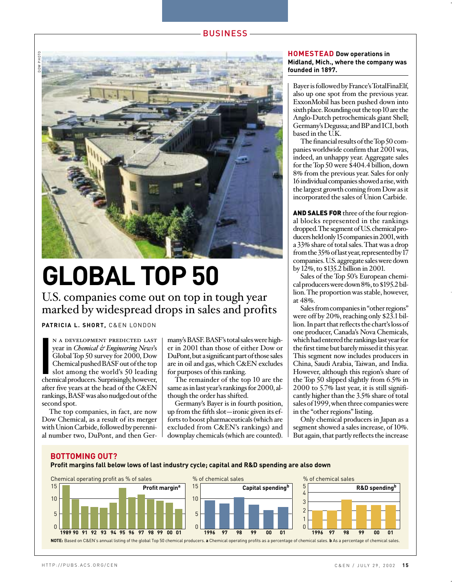

# **GLOBAL TOP 50**

U.S. companies come out on top in tough year marked by widespread drops in sales and profits

### **PATRICIA L. SHORT,** C&EN LONDON

N A DEVELOPMENT PREDICTED LAST<br>year in *Chemical & Engineering News's*<br>Global Top 50 survey for 2000, Dow<br>Chemical pushed BASF out of the top<br>slot among the world's 50 leading<br>chemical producers. Surprisingly, however, n a development predicted last year in *Chemical & Engineering News*'s Global Top 50 survey for 2000, Dow Chemical pushed BASF out of the top slot among the world's 50 leading after five years at the head of the C&EN rankings, BASF was also nudged out of the second spot.

The top companies, in fact, are now Dow Chemical, as a result of its merger with Union Carbide, followed by perennial number two, DuPont, and then Germany's BASF. BASF's total sales were higher in 2001 than those of either Dow or DuPont, but a significant part of those sales are in oil and gas, which C&EN excludes for purposes of this ranking.

The remainder of the top 10 are the same as in last year's rankings for 2000, although the order has shifted.

Germany's Bayer is in fourth position, up from the fifth slot—ironic given its efforts to boost pharmaceuticals (which are excluded from C&EN's rankings) and downplay chemicals (which are counted).

#### **HOMESTEAD Dow operations in Midland, Mich., where the company was founded in 1897.**

Bayer is followed by France's TotalFinaElf, also up one spot from the previous year. ExxonMobil has been pushed down into sixth place. Rounding out the top 10 are the Anglo-Dutch petrochemicals giant Shell; Germany's Degussa; and BPand ICI, both based in the U.K.

The financial results of the Top 50 companies worldwide confirm that 2001 was, indeed, an unhappy year. Aggregate sales for the Top 50 were \$404.4 billion, down 8% from the previous year. Sales for only 16 individual companies showed a rise, with the largest growth coming from Dow as it incorporated the sales of Union Carbide.

AND SALES FOR three of the four regional blocks represented in the rankings dropped. The segment of U.S. chemical producers held only 15 companies in 2001, with a 33% share of total sales. That was a drop from the 35% of last year, represented by 17 companies. U.S. aggregate sales were down by 12%, to \$135.2 billion in 2001.

Sales of the Top 50's European chemical producers were down 8%, to \$195.2 billion. The proportion was stable, however, at 48%.

Sales from companies in "other regions" were off by 20%, reaching only \$23.1 billion. In part that reflects the chart's loss of one producer, Canada's Nova Chemicals, which had entered the rankings last year for the first time but barely missed it this year. This segment now includes producers in China, Saudi Arabia, Taiwan, and India. However, although this region's share of the Top 50 slipped slightly from 6.5% in 2000 to 5.7% last year, it is still significantly higher than the 3.5% share of total sales of 1999, when three companies were in the "other regions" listing.

Only chemical producers in Japan as a segment showed a sales increase, of 10%. But again, that partly reflects the increase

#### **BOTTOMING OUT?**

**Profit margins fall below lows of last industry cycle; capital and R&D spending are also down**

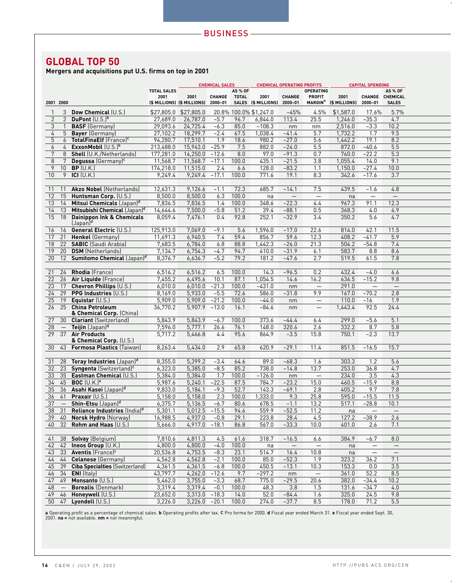## **GLOBAL TOP 50**

**Mergers and acquisitions put U.S. firms on top in 2001**

|                                |                                                      |                    | <b>CHEMICAL SALES</b><br><b>CHEMICAL OPERATING PROFITS</b> |               |                | <b>CAPITAL SPENDING</b>             |                   |                                             |                       |                          |                                 |  |
|--------------------------------|------------------------------------------------------|--------------------|------------------------------------------------------------|---------------|----------------|-------------------------------------|-------------------|---------------------------------------------|-----------------------|--------------------------|---------------------------------|--|
|                                |                                                      | <b>TOTAL SALES</b> |                                                            |               | <b>AS % OF</b> |                                     |                   | <b>OPERATING</b>                            |                       |                          | <b>AS % OF</b>                  |  |
| 2001 2000                      |                                                      | 2001               | 2001<br>(\$ MILLIONS) (\$ MILLIONS) 2000-01                | <b>CHANGE</b> | <b>TOTAL</b>   | 2001<br>SALES (\$ MILLIONS) 2000-01 | CHANGE            | <b>PROFIT</b><br><b>MARGIN</b> <sup>a</sup> | 2001<br>(\$ MILLIONS) | 2000-01                  | CHANGE CHEMICAL<br><b>SALES</b> |  |
|                                |                                                      |                    |                                                            |               |                |                                     |                   |                                             |                       |                          |                                 |  |
| 3<br>1                         | Dow Chemical (U.S.)                                  |                    | \$27,805.0 \$27,805.0                                      |               |                | 20.8% 100.0% \$1,247.0              | $-45%$            | 4.5%                                        | \$1,587.0             | 17.6%                    | 5.7%                            |  |
| $\overline{2}$<br>$\mathbf{2}$ | DuPont $(U.S.)^b$                                    | 27,689.0           | 26,787.0                                                   | $-5.7$        | 96.7           | 6,844.0                             | 113.4             | 25.5                                        | 1,246.0               | $-35.3$                  | 4.7                             |  |
| 3<br>$\mathbf{1}$              | <b>BASF</b> (Germany)                                | 29,093.6           | 24,725.4                                                   | $-6.3$        | 85.0           | $-108.3$                            | nm                | nm                                          | 2,516.0               | $-3.3$                   | 10.2                            |  |
| $\overline{4}$<br>5            | <b>Bayer</b> (Germany)                               | 27,102.2           | 18,299.7                                                   | $-2.4$        | 67.5           | 1,038.4                             | $-41.4$           | 5.7                                         | 1,732.2               | 1.7                      | 9.5                             |  |
| 5<br>6                         | TotalFinaElf (France) <sup>c</sup>                   | 94,280.7           | 17,510.1                                                   | 1.9           | 18.6           | 980.2                               | $-27.0$           | 5.6                                         | 1,442.2               | 19.1                     | 8.2                             |  |
| $\overline{4}$<br>6            | ExxonMobil (U.S.)b                                   | 213,488.0          | 15,943.0                                                   | $-25.9$       | 7.5            | 882.0                               | $-24.0$           | 5.5                                         | 872.0                 | $-40.6$                  | 5.5                             |  |
| 7<br>8                         | Shell (U.K./Netherlands)                             | 177,281.0          | 14,250.0                                                   | $-12.6$       | 8.0            | 97.0                                | $-91.3$           | 0.7                                         | 760.0                 | $-22.2$                  | 5.3                             |  |
| 8<br>7                         | Degussa (Germany) <sup>c</sup>                       | 11,568.7           | 11,568.7                                                   | $-17.1$       | 100.0          | 435.1                               | $-21.5$           | 3.8                                         | 1,055.4               | 14.0                     | 9.1                             |  |
| 9<br>10 <sup>°</sup>           | $BP$ (U.K.)                                          | 174,218.0          | 11,515.0                                                   | 2.4           | 6.6            | 128.0                               | $-83.2$           | 1.1                                         | 1,150.0               | $-27.4$                  | 10.0                            |  |
| 10<br>9                        | ICI $(U.K.)$                                         | 9,249.4            | 9,249.4                                                    | $-17.1$       | 100.0          | 771.6                               | 19.1              | 8.3                                         | 342.6                 | $-17.6$                  | 3.7                             |  |
|                                |                                                      |                    |                                                            |               |                |                                     |                   |                                             |                       |                          |                                 |  |
| 11<br>11                       | <b>Akzo Nobel (Netherlands)</b>                      | 12,631.3           | 9,126.6                                                    | $-1.1$        | 72.3           | 685.7                               | $-14.1$           | 7.5                                         | 439.5                 | $-1.6$                   | 4.8                             |  |
| 12<br>15                       | Huntsman Corp. (U.S.)                                | 8,500.0            | 8,500.0                                                    | 6.3           | 100.0          | na                                  | $\qquad \qquad -$ | $\qquad \qquad -$                           | na                    | $\qquad \qquad -$        | $\overline{\phantom{m}}$        |  |
| 13<br>14                       | Mitsui Chemicals (Japan) <sup>d</sup>                | 7,836.5            | 7,836.5                                                    | 1.4           | 100.0          | 348.6                               | $-22.3$           | 4.4                                         | 967.3                 | 91.1                     | 12.3                            |  |
| 14<br>13                       | Mitsubishi Chemical (Japan) <sup>d</sup>             | 14,644.6           | 7,500.0                                                    | $-5.8$        | 51.2           | 39.4                                | $-88.1$           | 0.5                                         | 368.3                 | 4.0                      | 4.9                             |  |
| 15                             | 18 Dainippon Ink & Chemicals<br>(Japan) <sup>d</sup> | 8,059.4            | 7,476.1                                                    | 0.4           | 92.8           | 252.1                               | $-32.9$           | 3.4                                         | 350.2                 | 5.6                      | 4.7                             |  |
| 16<br>16                       | <b>General Electric (U.S.)</b>                       | 125,913.0          | 7,069.0                                                    | $-9.1$        | 5.6            | 1,596.0                             | $-17.0$           | 22.6                                        | 814.0                 | 42.1                     | 11.5                            |  |
| 17<br>21                       | Henkel (Germany)                                     | 11,691.3           | 6,940.5                                                    | 7.4           | 59.4           | 856.7                               | 59.6              | 12.3                                        | 408.2                 | $-41.7$                  | 5.9                             |  |
| 18<br>22                       | <b>SABIC</b> (Saudi Arabia)                          | 7,683.5            | 6,784.0                                                    | 6.8           | 88.8           | 1,442.3                             | $-26.0$           | 21.3                                        | 504.2                 | $-54.8$                  | 7.4                             |  |
| 20<br>19                       | <b>DSM</b> (Netherlands)                             | 7,134.7            | 6,754.3                                                    | $-4.7$        | 94.7           | 410.0                               | $-31.9$           | 6.1                                         | 583.7                 | 8.8                      | 8.6                             |  |
| 20<br>12                       | <b>Sumitomo Chemical (Japan)d</b>                    | 8,376.7            | 6,636.7                                                    | $-5.2$        | 79.2           | 181.2                               | $-47.6$           | 2.7                                         | 519.5                 | 61.5                     | 7.8                             |  |
|                                |                                                      |                    |                                                            |               |                |                                     |                   |                                             |                       |                          |                                 |  |
| 21<br>24                       | <b>Rhodia</b> (France)                               | 6,516.2            | 6,516.2                                                    | 6.5           | 100.0          | 14.3                                | $-96.5$           | 0.2                                         | 432.4                 | $-4.0$                   | 6.6                             |  |
| 22<br>26                       | Air Liquide (France)                                 | 7,455.2            | 6,495.6                                                    | 10.1          | 87.1           | 1,054.5                             | 14.6              | 16.2                                        | 636.5                 | $-15.2$                  | 9.8                             |  |
| 23<br>17                       | Chevron Phillips (U.S.)                              | 6,010.0            | 6,010.0                                                    | $-21.3$       | 100.0          | $-431.0$                            | nm                | $\overline{\phantom{0}}$                    | 291.0                 | $\overline{\phantom{0}}$ | $\qquad \qquad -$               |  |
| 24<br>29                       | <b>PPG Industries (U.S.)</b>                         | 8,169.0            | 5,933.0                                                    | $-5.5$        | 72.6           | 586.0                               | $-31.8$           | 9.9                                         | 167.0                 | $-70.2$                  | 2.8                             |  |
| 25<br>19                       | Equistar (U.S.)                                      | 5,909.0            | 5,909.0                                                    | $-21.2$       | 100.0          | $-44.0$                             | nm                | $\qquad \qquad -$                           | 110.0                 | $-16$                    | 1.9                             |  |
| 26                             | 25 China Petroleum                                   | 36,770.2           | 5,907.9                                                    | $-13.0$       | 16.1           | $-84.6$                             | nm                | $\qquad \qquad -$                           | 1,443.4               | 92.5                     | 24.4                            |  |
|                                | & Chemical Corp. (China)                             |                    |                                                            |               |                |                                     |                   |                                             |                       |                          |                                 |  |
| 27<br>30 <sup>°</sup>          | <b>Clariant</b> (Switzerland)                        | 5,843.9            | 5,843.9                                                    | $-6.7$        | 100.0          | 373.6                               | $-44.4$           | 6.4                                         | 299.0                 | $-5.6$                   | 5.1                             |  |
| 28<br>$ \,$                    | Teijin (Japan) <sup>d</sup>                          | 7,596.0            | 5,777.1                                                    | 26.6          | 76.1           | 148.0                               | 320.6             | 2.6                                         | 332.2                 | 8.7                      | 5.8                             |  |
| $\overline{29}$                | 37 Air Products                                      | 5,717.2            | 5,466.8                                                    | 4.4           | 95.6           | 864.9                               | $-3.5$            | 15.8                                        | 750.1                 | $-2.3$                   | 13.7                            |  |
|                                | & Chemical Corp. (U.S.)                              |                    |                                                            |               |                |                                     |                   |                                             |                       |                          |                                 |  |
| 30<br>43                       | <b>Formosa Plastics (Taiwan)</b>                     | 8,263.4            | 5,434.0                                                    | 2.9           | 65.8           | 620.9                               | $-29.1$           | 11.4                                        | 851.5                 | $-16.5$                  | 15.7                            |  |
| 31<br>28                       | Toray Industries (Japan) <sup>d</sup>                | 8,355.0            | 5,399.2                                                    | $-3.4$        | 64.6           | 89.0                                | $-68.3$           | 1.6                                         | 303.3                 | 1.2                      | 5.6                             |  |
| 23<br>32                       | Syngenta (Switzerland) <sup>c</sup>                  | 6,323.0            | 5,385.0                                                    | $-8.5$        | 85.2           | 738.0                               | $-14.8$           | 13.7                                        | 253.0                 | 36.8                     | 4.7                             |  |
| 33<br>35                       | Eastman Chemical (U.S.)                              | 5,384.0            | 5,384.0                                                    | 1.7           | 100.0          | $-126.0$                            | nm                | $\qquad \qquad -$                           | 234.0                 | 3.5                      | 4.3                             |  |
| 34<br>45                       | BOC $(U.K.)e$                                        | 5,987.6            | 5,240.1                                                    | $-22.5$       | 87.5           | 784.7                               | $-23.2$           | 15.0                                        | 460.5                 | $-15.9$                  | 8.8                             |  |
| 35                             | 36 Asahi Kasei (Japan) <sup>d</sup>                  | 9,833.0            | 5,184.1                                                    | $-9.3$        | 52.7           | 143.3                               | $-69.1$           | 2.8                                         | 405.2                 | 9.7                      | 7.8                             |  |
| 36<br>41                       | Praxair (U.S.)                                       | 5,158.0            | 5,158.0                                                    | 2.3           | 100.0          | 1,333.0                             | 9.3               | 25.8                                        | 595.0                 | $-15.5$                  | 11.5                            |  |
| 37<br>$\overline{\phantom{m}}$ | Shin-Etsu (Japan) <sup>d</sup>                       | 6,375.7            | 5,136.5                                                    | $-6.7$        | 80.6           | 678.5                               | $-1.1$            | 13.2                                        | 517.1                 | $-28.8$                  | 10.1                            |  |
| 38<br>31                       | Reliance Industries [India] <sup>d</sup>             | 5.301.1            | 5.012.5                                                    | $-15.5$       | 94.6           | 559.9                               | $-52.5$           | 11.2                                        | na                    | $\overline{\phantom{m}}$ | $\overline{\phantom{m}}$        |  |
| 39                             | 40 Norsk Hydro (Norway)                              | 16,988.5           | 4,937.0                                                    | $-0.8$        | 29.1           | 223.8                               | 28.4              | 4.5                                         | 127.2                 | $-38.9$                  | 2.6                             |  |
| 40<br>32                       | Rohm and Haas (U.S.)                                 | 5,666.0            | 4,917.0                                                    | $-18.1$       | 86.8           | 567.0                               | $-33.3$           | 10.0                                        | 401.0                 | 2.6                      | 7.1                             |  |
|                                |                                                      |                    |                                                            |               |                |                                     |                   |                                             |                       |                          |                                 |  |
| 41                             | 38 Solvay (Belgium)                                  | 7,810.6            | 4,811.3                                                    | 4.5           | 61.6           | 318.7                               | $-16.5$           | 6.6                                         | 384.9                 | $-6.7$                   | 8.0                             |  |
| 42                             | 42 Ineos Group (U.K.)                                | 4,800.0            | 4,800.0                                                    | $-4.0$        | 100.0          | na                                  | $\qquad \qquad -$ | $\qquad \qquad -$                           | na                    | $\qquad \qquad -$        | $\qquad \qquad -$               |  |
| 43                             | 33 Aventis (France) <sup>c</sup>                     | 20,536.8           | 4,753.5                                                    | $-8.3$        | 23.1           | 514.7                               | 16.4              | 10.8                                        | na                    | $\overline{\phantom{m}}$ | $\qquad \qquad -$               |  |
| 44                             | 44 Celanese (Germany)                                | 4,562.8            | 4,562.8                                                    | $-2.1$        | 100.0          | 85.0                                | $-52.3$           | 1.9                                         | 323.2                 | 36.2                     | 7.1                             |  |
| 39<br>45                       | <b>Ciba Specialties (Switzerland)</b>                | 4,361.5            | 4,361.5                                                    | $-6.8$        | 100.0          | 450.5                               | $-13.1$           | 10.3                                        | 153.3                 | 0.0                      | 3.5                             |  |
| 46<br>34                       | <b>ENI</b> (Italy)                                   | 43,797.7           | 4,262.0                                                    | $-12.6$       | 9.7            | $-297.2$                            | nm                | $\qquad \qquad -$                           | 361.0                 | 52.2                     | 8.5                             |  |
| 47                             | 49 Monsanto (U.S.)                                   | 5,462.0            | 3,755.0                                                    | $-3.3$        | 68.7           | 775.0                               | $-29.5$           | 20.6                                        | 382.0                 | $-34.4$                  | 10.2                            |  |
| 48                             | <b>Borealis (Denmark)</b>                            | 3,319.4            | 3,319.4                                                    | $-0.1$        | 100.0          | 48.3                                | 3.8               | 1.5                                         | 131.6                 | $-34.7$                  | 4.0                             |  |
| 49<br>46                       | Honeywell (U.S.)                                     | 23,652.0           | 3,313.0                                                    | $-18.3$       | 14.0           | 52.0                                | $-84.4$           | 1.6                                         | 325.0                 | 24.5                     | 9.8                             |  |
| 50 47                          | Lyondell (U.S.)                                      | 3,226.0            | 3,226.0                                                    | $-20.1$       | 100.0          | 274.0                               | $-37.7$           | 8.5                                         | 178.0                 | 71.2                     | 5.5                             |  |
|                                |                                                      |                    |                                                            |               |                |                                     |                   |                                             |                       |                          |                                 |  |

<mark>a</mark> Operating profit as a percentage of chemical sales. **b** Operating profits after tax. **C** Pro forma for 2000. **d** Fiscal year ended March 31. **e** Fiscal year ended Sept. 30,<br>2001. **na =** not available. **nm =** not meanin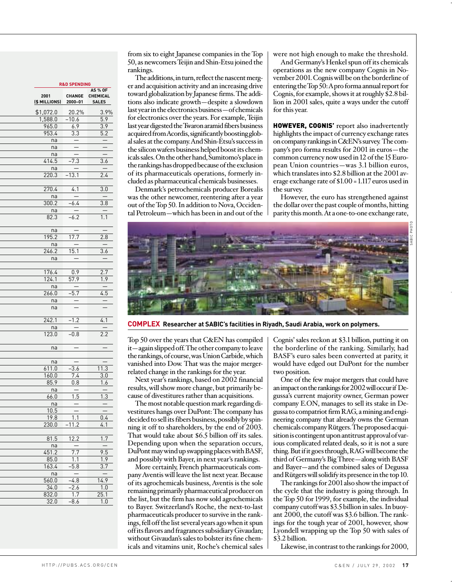|                       | <b>R&amp;D SPENDING</b>  |                                            |  |  |  |  |  |  |  |  |  |
|-----------------------|--------------------------|--------------------------------------------|--|--|--|--|--|--|--|--|--|
| 2001<br>(\$ MILLIONS) | <b>CHANGE</b><br>2000-01 | <b>AS % OF</b><br>CHEMICAL<br><b>SALES</b> |  |  |  |  |  |  |  |  |  |
| \$1,072.0             | 20.2%                    | 3.9%                                       |  |  |  |  |  |  |  |  |  |
| 1,588.0               | $-10.6$                  | 5.9                                        |  |  |  |  |  |  |  |  |  |
| 965.0                 | 6.9                      | <u>3.9</u>                                 |  |  |  |  |  |  |  |  |  |
| 953.4                 | $\overline{3.3}$         | $\overline{5.2}$                           |  |  |  |  |  |  |  |  |  |
| na                    |                          |                                            |  |  |  |  |  |  |  |  |  |
| na                    |                          |                                            |  |  |  |  |  |  |  |  |  |
| na                    |                          |                                            |  |  |  |  |  |  |  |  |  |
| 414.5                 | $-7.3$                   | $\overline{3.6}$                           |  |  |  |  |  |  |  |  |  |
|                       |                          |                                            |  |  |  |  |  |  |  |  |  |
| na<br>220.3           | $-13.1$                  | $\overline{2.4}$                           |  |  |  |  |  |  |  |  |  |
|                       |                          |                                            |  |  |  |  |  |  |  |  |  |
|                       |                          |                                            |  |  |  |  |  |  |  |  |  |
| $\overline{270.4}$    | $\overline{4.1}$         | $\overline{3.0}$                           |  |  |  |  |  |  |  |  |  |
| na                    |                          |                                            |  |  |  |  |  |  |  |  |  |
| 300.2                 | $-6.4$                   | $\overline{3.8}$                           |  |  |  |  |  |  |  |  |  |
| na                    |                          |                                            |  |  |  |  |  |  |  |  |  |
| 82.3                  | $-6.2$                   | 1.1                                        |  |  |  |  |  |  |  |  |  |
| na                    |                          |                                            |  |  |  |  |  |  |  |  |  |
| 195.2                 | 17.7                     | 2.8                                        |  |  |  |  |  |  |  |  |  |
| na                    |                          |                                            |  |  |  |  |  |  |  |  |  |
| 246.2                 | $\overline{15.1}$        | 3.6                                        |  |  |  |  |  |  |  |  |  |
| na                    |                          |                                            |  |  |  |  |  |  |  |  |  |
|                       |                          |                                            |  |  |  |  |  |  |  |  |  |
| 176.4                 | 0.9                      | $\overline{2.7}$                           |  |  |  |  |  |  |  |  |  |
| 124.1                 | $\overline{57.9}$        | 1.9                                        |  |  |  |  |  |  |  |  |  |
| na                    |                          |                                            |  |  |  |  |  |  |  |  |  |
| 266.0                 | $\overline{5.7}$         | 4.5                                        |  |  |  |  |  |  |  |  |  |
| na                    |                          |                                            |  |  |  |  |  |  |  |  |  |
| na                    |                          |                                            |  |  |  |  |  |  |  |  |  |
| 242.1                 | $-1.2$                   | 4.1                                        |  |  |  |  |  |  |  |  |  |
| na                    |                          | $\frac{1}{2}$                              |  |  |  |  |  |  |  |  |  |
| 123.0                 | $-0.8$                   | 2.2                                        |  |  |  |  |  |  |  |  |  |
|                       |                          |                                            |  |  |  |  |  |  |  |  |  |
| na                    |                          |                                            |  |  |  |  |  |  |  |  |  |
|                       |                          |                                            |  |  |  |  |  |  |  |  |  |
| na                    |                          |                                            |  |  |  |  |  |  |  |  |  |
| 611.0                 | $-3.6$                   | 11.3                                       |  |  |  |  |  |  |  |  |  |
| 160.0                 | 7.4                      | $\overline{3.0}$                           |  |  |  |  |  |  |  |  |  |
| 85.9                  | 0.8                      | 1.6                                        |  |  |  |  |  |  |  |  |  |
| na                    |                          |                                            |  |  |  |  |  |  |  |  |  |
| 66.0                  | $\overline{1.5}$         | $\overline{1.3}$                           |  |  |  |  |  |  |  |  |  |
| na                    |                          |                                            |  |  |  |  |  |  |  |  |  |
| 10.5                  |                          |                                            |  |  |  |  |  |  |  |  |  |
| 19.8                  | $\overline{1.1}$         | 0.4                                        |  |  |  |  |  |  |  |  |  |
| 230.0                 | $-11.2$                  | 4.1                                        |  |  |  |  |  |  |  |  |  |
| 81.5                  | 12.2                     | 1.7                                        |  |  |  |  |  |  |  |  |  |
|                       |                          |                                            |  |  |  |  |  |  |  |  |  |
| na                    | 7.7                      |                                            |  |  |  |  |  |  |  |  |  |
| 451.2                 |                          | 9.5                                        |  |  |  |  |  |  |  |  |  |
| 85.0                  | $\overline{1.1}$         | 1.9                                        |  |  |  |  |  |  |  |  |  |
| 163.4                 | $-5.8$                   | 3.7                                        |  |  |  |  |  |  |  |  |  |
| na                    | $\overline{a}$           | Ξ                                          |  |  |  |  |  |  |  |  |  |
| $\overline{5}60.0$    | $-4.8$                   | 14.9                                       |  |  |  |  |  |  |  |  |  |
| 34.0                  | .2.6                     | $\overline{1.0}$                           |  |  |  |  |  |  |  |  |  |
| 832.0                 | 1.7                      | 25.1                                       |  |  |  |  |  |  |  |  |  |
| 32.0                  | $-8.6$                   | 1.0                                        |  |  |  |  |  |  |  |  |  |

from six to eight Japanese companies in the Top 50, as newcomers Teijin and Shin-Etsu joined the rankings.

The additions, in turn, reflect the nascent merger and acquisition activity and an increasing drive toward globalization by Japanese firms. The additions also indicate growth—despite a slowdown last year in the electronics business—of chemicals for electronics over the years. For example, Teijin last year digested the Twaron aramid fibers business acquired from Acordis, significantly boosting global sales at the company. And Shin-Etsu's success in the silicon wafers business helped boost its chemicals sales. On the other hand, Sumitomo's place in the rankings has dropped because of the exclusion of its pharmaceuticals operations, formerly included as pharmaceutical chemicals businesses.

Denmark's petrochemicals producer Borealis was the other newcomer, reentering after a year out of the Top 50. In addition to Nova, Occidental Petroleum—which has been in and out of the were not high enough to make the threshold.

And Germany's Henkel spun off its chemicals operations as the new company Cognis in November 2001. Cognis will be on the borderline of entering the Top 50: Apro forma annual report for Cognis, for example, shows it at roughly \$2.8 billion in 2001 sales, quite a ways under the cutoff for this year.

HOWEVER, COGNIS' report also inadvertently highlights the impact of currency exchange rates on company rankings in C&EN's survey. The company's pro forma results for 2001 in euros—the common currency now used in 12 of the 15 European Union countries—was 3.1 billion euros, which translates into \$2.8 billion at the 2001 average exchange rate of \$1.00 = 1.117 euros used in the survey.

However, the euro has strengthened against the dollar over the past couple of months, hitting parity this month. At a one-to-one exchange rate,



**COMPLEX Researcher at SABIC's facilities in Riyadh, Saudi Arabia, work on polymers.**

Top 50 over the years that C&EN has compiled it—again slipped off. The other company to leave the rankings, of course, was Union Carbide, which vanished into Dow. That was the major mergerrelated change in the rankings for the year.

Next year's rankings, based on 2002 financial results, will show more change, but primarily because of divestitures rather than acquisitions.

The most notable question mark regarding divestitures hangs over DuPont: The company has decided to sell its fibers business, possibly by spinning it off to shareholders, by the end of 2003. That would take about \$6.5 billion off its sales. Depending upon when the separation occurs, DuPont may wind up swapping places with BASF, and possibly with Bayer, in next year's rankings.

More certainly, French pharmaceuticals company Aventis will leave the list next year. Because of its agrochemicals business, Aventis is the sole remaining primarily pharmaceutical producer on the list, but the firm has now sold agrochemicals to Bayer. Switzerland's Roche, the next-to-last pharmaceuticals producer to survive in the rankings, fell off the list several years ago when it spun off its flavors and fragrances subsidiary Givaudan; without Givaudan's sales to bolster its fine chemicals and vitamins unit, Roche's chemical sales Cognis' sales reckon at \$3.1 billion, putting it on the borderline of the ranking. Similarly, had BASF's euro sales been converted at parity, it would have edged out DuPont for the number two position.

One of the few major mergers that could have an impact on the rankings for 2002 will occur if Degussa's current majority owner, German power company E.ON, manages to sell its stake in Degussa to compatriot firm RAG, a mining and engineering company that already owns the German chemicals company Rütgers. The proposed acquisition is contingent upon antitrust approval of various complicated related deals, so it is not a sure thing. But if it goes through, RAG will become the third of Germany's Big Three—along with BASF and Bayer—and the combined sales of Degussa and Rütgers will solidify its presence in the top 10.

The rankings for 2001 also show the impact of the cycle that the industry is going through. In the Top 50 for 1999, for example, the individual company cutoff was \$3.5 billion in sales. In buoyant 2000, the cutoff was \$3.6 billion. The rankings for the tough year of 2001, however, show Lyondell wrapping up the Top 50 with sales of \$3.2 billion.

Likewise, in contrast to the rankings for 2000,